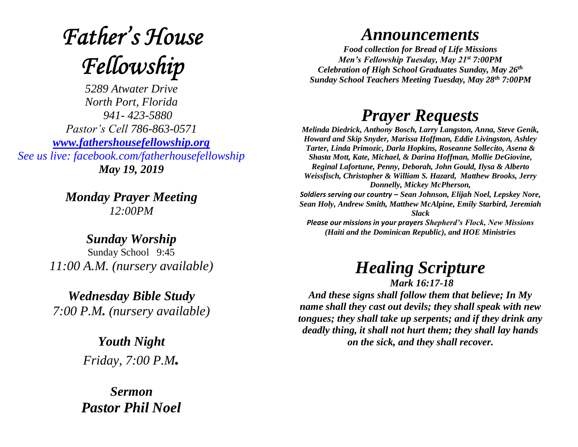# **Father's House** Fellowship

*5289 Atwater Drive North Port, Florida 941- 423-5880 Pastor's Cell 786-863-0571 [www.fathershousefellowship.org](http://www.fathershousefellowship.org/) See us live: facebook.com/fatherhousefellowship May 19, 2019*

> *Monday Prayer Meeting 12:00PM*

*Sunday Worship* Sunday School 9:45 *11:00 A.M. (nursery available)*

*Wednesday Bible Study 7:00 P.M. (nursery available)*

> *Youth Night Friday, 7:00 P.M.*

*Sermon Pastor Phil Noel*

#### *Announcements*

*Food collection for Bread of Life Missions Men's Fellowship Tuesday, May 21st 7:00PM Celebration of High School Graduates Sunday, May 26th Sunday School Teachers Meeting Tuesday, May 28th 7:00PM*

### *Prayer Requests*

*Melinda Diedrick, Anthony Bosch, Larry Langston, Anna, Steve Genik, Howard and Skip Snyder, Marissa Hoffman, Eddie Livingston, Ashley Tarter, Linda Primozic, Darla Hopkins, Roseanne Sollecito, Asena & Shasta Mott, Kate, Michael, & Darina Hoffman, Mollie DeGiovine, Reginal Lafortune, Penny, Deborah, John Gould, Ilysa & Alberto Weissfisch, Christopher & William S. Hazard, Matthew Brooks, Jerry Donnelly, Mickey McPherson, Soldiers serving our country – Sean Johnson, Elijah Noel, Lepskey Nore, Sean Holy, Andrew Smith, Matthew McAlpine, Emily Starbird, Jeremiah Slack Please our missions in your prayers Shepherd's Flock, New Missions (Haiti and the Dominican Republic), and HOE Ministries*

## *Healing Scripture*

*Mark 16:17-18 And these signs shall follow them that believe; In My name shall they cast out devils; they shall speak with new tongues; they shall take up serpents; and if they drink any deadly thing, it shall not hurt them; they shall lay hands on the sick, and they shall recover.*